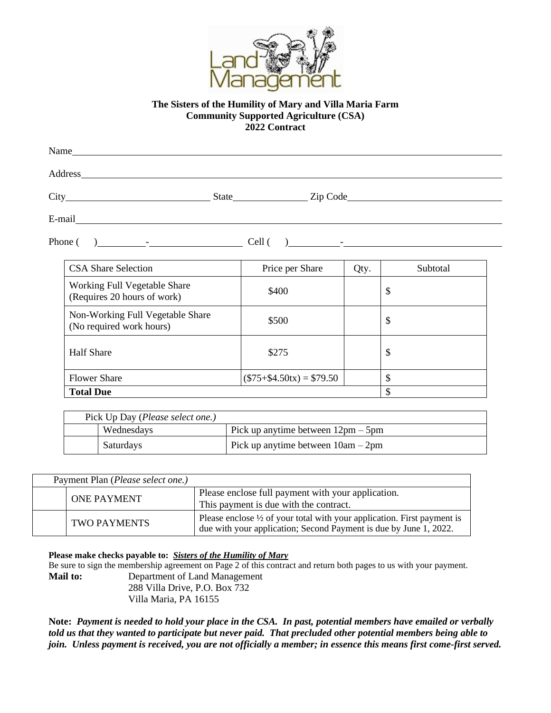

## **The Sisters of the Humility of Mary and Villa Maria Farm Community Supported Agriculture (CSA) 2022 Contract**

| Name                         |                                                                                                                                                                                                                               |      |          |  |
|------------------------------|-------------------------------------------------------------------------------------------------------------------------------------------------------------------------------------------------------------------------------|------|----------|--|
| Address                      |                                                                                                                                                                                                                               |      |          |  |
|                              | State State State State State State State State State State State State State State State State State State State State State State State State State State State State State State State State State State State State State |      | Zip Code |  |
| E-mail                       |                                                                                                                                                                                                                               |      |          |  |
|                              |                                                                                                                                                                                                                               |      |          |  |
| <b>CSA Share Selection</b>   | Price per Share                                                                                                                                                                                                               | Qty. | Subtotal |  |
| Working Full Vegatable Share |                                                                                                                                                                                                                               |      |          |  |

| CDI i bilate belection                                       | THUE put Driette           | Qvy. | wuuuu |
|--------------------------------------------------------------|----------------------------|------|-------|
| Working Full Vegetable Share<br>(Requires 20 hours of work)  | \$400                      |      | \$    |
| Non-Working Full Vegetable Share<br>(No required work hours) | \$500                      |      | \$    |
| <b>Half Share</b>                                            | \$275                      |      | \$    |
| <b>Flower Share</b>                                          | $($75 + $4.50tx) = $79.50$ |      | Φ     |
| <b>Total Due</b>                                             |                            |      |       |

| Pick Up Day ( <i>Please select one.</i> ) |            |                                                      |  |
|-------------------------------------------|------------|------------------------------------------------------|--|
|                                           | Wednesdays | Pick up anytime between $12 \text{pm} - 5 \text{pm}$ |  |
|                                           | Saturdays  | Pick up anytime between $10am - 2pm$                 |  |

| Payment Plan ( <i>Please select one.</i> ) |                                                                                                                                                         |
|--------------------------------------------|---------------------------------------------------------------------------------------------------------------------------------------------------------|
| <b>ONE PAYMENT</b>                         | Please enclose full payment with your application.<br>This payment is due with the contract.                                                            |
| <b>TWO PAYMENTS</b>                        | Please enclose $\frac{1}{2}$ of your total with your application. First payment is<br>due with your application; Second Payment is due by June 1, 2022. |

**Please make checks payable to:** *Sisters of the Humility of Mary*

Be sure to sign the membership agreement on Page 2 of this contract and return both pages to us with your payment. **Mail to:** Department of Land Management

288 Villa Drive, P.O. Box 732 Villa Maria, PA 16155

**Note:** *Payment is needed to hold your place in the CSA. In past, potential members have emailed or verbally told us that they wanted to participate but never paid. That precluded other potential members being able to join. Unless payment is received, you are not officially a member; in essence this means first come-first served.*